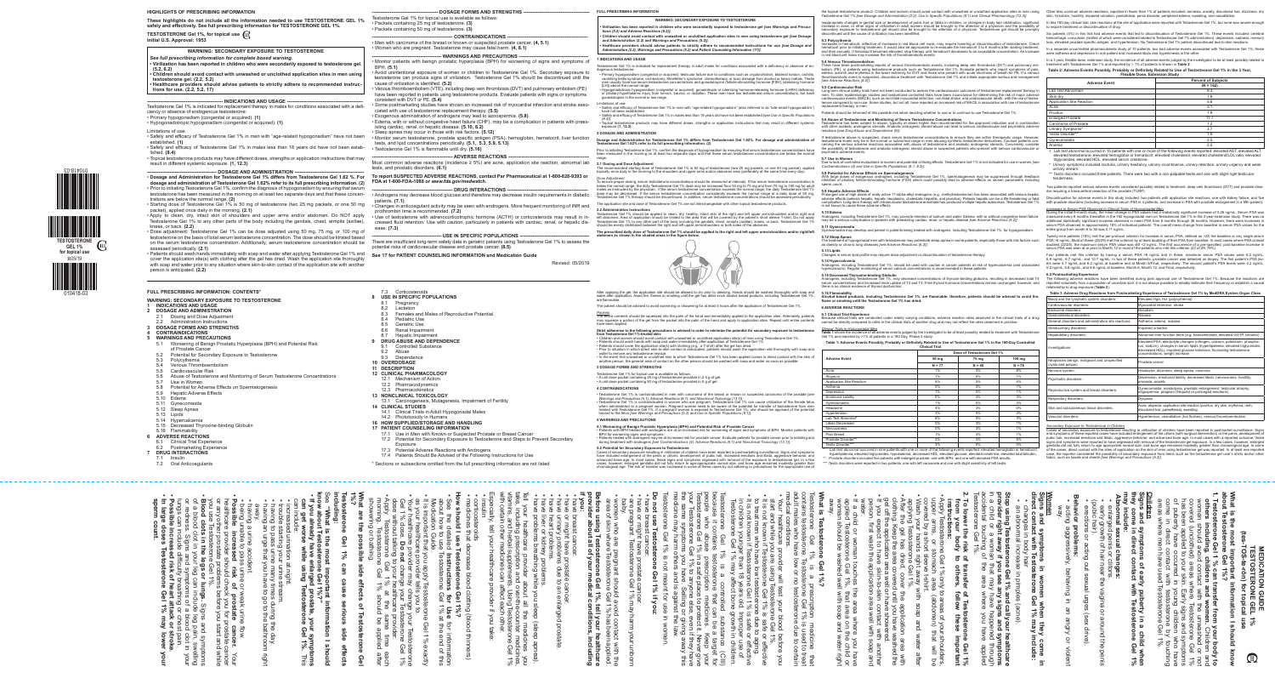**TESTOSTERONE GEL 1% for topical use** R05/19

010418-03

010418-03

### **HIGHLIGHTS OF PRESCRIBING INFORMATION**

**These highlights do not include all the information needed to use TESTOSTERONE GEL 1% safely and effectively. See full prescribing information for TESTOSTERONE GEL 1%.** 

**TESTOSTERONE Gel 1%, for topical use Initial U.S. Approval: 1953** 

**WARNING: SECONDARY EXPOSURE TO TESTOSTERONE**

-- INDICATIONS AND USAGE --Testosterone Gel 1% is indicated for replacement therapy in males for conditions associated with a defi-

- *See full prescribing information for complete boxed warning.*
- Virilization has been reported in children who were secondarily exposed to testosterone **q (5.2, 6.2)**
- **Children should avoid contact with unwashed or unclothed application sites in men using testosterone gel. (2.2, 5.2)**
- **Healthcare providers should advise patients to strictly adhere to recommended instru tions for use. (2.2, 5.2, 17)**
- 

- ciency or absence of endogenous testosterone:
- Primary hypogonadism (congenital or acquired). **(1)** • Hypogonadotropic hypogonadism (congenital or acquired). **(1)**
- Limitations of use:

-- DOSAGE FORMS AND STRENGTHS --Testosterone Gel 1% for topical use is available as follows:

- Safety and efficacy of Testosterone Gel 1% in men with "age-related hypogonadism" have not been established. **(1)**
- Safety and efficacy of Testosterone Gel 1% in males less than 18 years old have not been established. **(8.4)**
- Topical testosterone products may have different doses, strengths or application instructions that may result in different systemic exposure. **(1, 12.3)**
	- -- DOSAGE AND ADMINISTRATION --
- **Dosage and Administration for Testosterone Gel 1% differs from Testosterone Gel 1.62 %. For dosage and administration of Testosterone Gel 1.62% refer to its full prescribing information. (2)**
- Prior to initiating Testosterone Gel 1%, confirm the diagnosis of hypogonadism by ensuring that serum testosterone has been measured in the morning on at least two separate days and that these concen-
- trations are below the normal range. **(2)** • Starting dose of Testosterone Gel 1% is 50 mg of testosterone (two 25 mg packets, or one 50 mg • Changes in anticoagulant activity may be seen with androgens. More frequent monitoring of INR and
- packet), applied once daily in the morning. **(2.1)** • Apply to clean, dry, intact skin of shoulders and upper arms and/or abdomen. Do NOT apply Testosterone Gel 1% to any other parts of the body including the genitals, chest, armpits (axillae), knees, or back. **(2.2)**
- Dose adjustment: Testosterone Gel 1% can be dose adjusted using 50 mg, 75 mg, or 100 mg of testosterone on the basis of total serum testosterone concentration. The dose should be titrated based on the serum testosterone concentration. Additionally, serum testosterone concentration should be
- assessed periodically. **(2.1)** • Patients should wash hands immediately with soap and water after applying Testosterone Gel 1% and **See 17 for PATIENT COUNSELING INFORMATION and Medication Guide**  cover the application site(s) with clothing after the gel has dried. Wash the application site thoroughly
- with soap and water prior to any situation where skin-to-skin contact of the application site with another person is anticipated. **(2.2)**
- 
- 7.3 Corticosteroids
- **8 USE IN SPECIFIC POPULATIONS**
- 8.1 Pregnancy 8.2 Lactation
- 8.3 Females and Males of Reproductive Potential
- 8.4 Pediatric Use
- 8.5 Geriatric Use
- 8.6 Renal Impairment
- 8.7 Hepatic Impairment
- **9 DRUG ABUSE AND DEPENDENCE**
- 9.1 Controlled Substance
- 9.2 Abuse
- 9.3 Dependence **10 OVERDOSAGE**
- **11 DESCRIPTION**
- **12 CLINICAL PHARMACOLOGY**
- 12.1 Mechanism of Action
- 12.2 Pharmacodynamics
- 12.3 Pharmacokinetics
- **13 NONCLINICAL TOXICOLOGY**
- 13.1 Carcinogenesis, Mutagenesis, Impairment of Fertility
- **14 CLINICAL STUDIES**
- 14.1 Clinical Trials in Adult Hypogonadal Males 14.2 Phototoxicity in Humans
- **16 HOW SUPPLIED/STORAGE AND HANDLING**
- **17 PATIENT COUNSELING INFORMATION**
- 17.1 Use in Men with Known or Suspected Prostate or Breast Cancer 17.2 Potential for Secondary Exposure to Testosterone and Steps to Prevent Secondary
- Exposure
- 17.3 Potential Adverse Reactions with Androgens 17.4 Patients Should Be Advised of the Following Instructions for Use
- \* Sections or subsections omitted from the full prescribing information are not listed

**FULL PRESCRIBING INFORMATION WARNING: SECONDARY EXPOSURE TO TESTOSTERON • Virilization has been reported in children who were secondarily exposed to testosterone gel** *[see Warnings and Precautions (5.2) and Adverse Reactions (6.2)]***. • Children should avoid contact with unwashed or unclothed application sites in men using testosterone gel** *[see Dosage and Administration (2.2) and Warnings and Precautions (5.2)].* **• Healthcare providers should advise patients to strictly adhere to recommended instructions for use** *[see Dosage and Administration (2.2), Warnings and Precautions (5.2) and Patient Counseling Information (17)]***. 1 INDICATIONS AND USAGE 5.4 Venous Thromboembolism**  tosterone Gel 1% is indicated for replacement therapy in adult males for conditions associated with a deficiency or absence of enenous testosterone • Primary hypogonadism (congenital or acquired): testicular failure due to conditions such as cryptorchidism, bilateral torsion, orchitis,<br>• vanishing testis syndrome, orchiectomy, Klinefelter's syndrome, chemotherapy, or [LH]) above the normal range. **•**<br>dism (congenital or acquired): gonadotropin or luteinizing hormone-releasing hormone (LHRH) deficiency or pituitary-hypothalamic injury from tumors, trauma, or radiation. These men have low testosterone serum concentrations, but have ary riypormanties in the normal or low range. Limitations of use: • Safety and efficacy of Testosterone Gel 1% in men with "age-related hypogonadism" (also referred to as "late-onset hypogonadism") have not been estab • Safety and efficacy of Testosterone Gel 1% in males less than 18 years old have not been established *[see Use in Specific Populations (8.4)]*. • Topical testosterone products may have different doses, strengths or application instructions that may result in different systemic exposure **(1, 12.3)**. **2 DOSAGE AND ADMINISTRATION Dosage and Administration for Testosterone Gel 1% differs from Testosterone Gel 1.62%. For dosage and administration of Testosterone Gel 1.62% refer to its full prescribing information. (2)** Prior to initiating Testosterone Gel 1%, confirm the diagnosis of hypogonadism by ensuring that serum testosterone concentrations have been measured in the morning on at least two separate days and that these serum testosterone concentrations are below the normal range. **2.1 Dosing and Dose Adjustment** The recommended starting dose of Testosterone Gel 1% is 50 mg of testosterone (two 25 mg packets, or one 50 mg packet), applied<br>topically once daily in the morning to the shoulders and upper arms and/or abdomen area (prefe *Dose Adjustmen* To ensure proper dosing, serum testosterone concentrations should be measured at intervals. If the serum test below the normal range, the daily Testosterone Gel 1% dose may be increased from 50 mg to 75 mg and from 75 mg to 100 mg for adult<br>males as instructed by the physician. If the serum testosterone concentration exceeds the dose may be decreased. If the serum testosterone concentration consistently exceeds the normal range at a daily dose of 50 mg,<br>Testosterone Gel 1% therapy should be discontinued. In addition, serum testosterone concentrati Ie application site and dose of Testosterone Gel 1% are not interchangeable with other topical testosterone products 2.2 Administration Instructions<br>Testosterone Gel 1% should be applied to clean, dry, healthy, intact skin of the right and left upper arms/shoulders and/or right and<br>left abdomen. Area of application should be limited to t **5.11 Gynecomastia The prescribed daily dose of Testosterone Gel 1% should be applied to the right and left upper arms/shoulders and/or right/left abdomen as shown in the shaded areas in the figure below. 5.13 Lipids** Revised: 05/2019 After applying the gel, the application site should be allowed to dry prior to dressing. Hands should be washed thoroughly with soap and<br>water after application. Avoid fire, flames or smoking until the gel has dried since The patient should be advised to avoid swimming or showering for at least 5 hours after the application of Testosterone Gel 1%. *Packets* The entire contents should be squeezed into the palm of the hand and immediately applied to the application sites. Alternately, patients may squeeze a portion of the gel from the packet into the palm of the hand and apply to application sites. Repeat until entire contents have been applied. Strict adherence to the following precautions is advised in order to minimize the potential for secondary exposure to testosterone<br>from Testosterone Gel 1%-treated skin:<br>• Children and women should avoid contact with unwas • Patients should wash hands with soap and water immediately after application of Testosterone Gel 1%. • Patients should cover the application site(s) with clothing (e.g., a T-shirt) after the gel has dried. • Prior to situation in which direct skin-to-skin contact is anticipated, patients should wash the application site thoroughly with soap and water to remove any testosterone residue. • In the event that unwashed or unclothed skin to which Testosterone Gel 1% has been applied comes in direct contact with the skin of another person, the general area of contact on the other person should be washed with soap and water as soon as possible. **3 DOSAGE FORMS AND STRENGTHS** Testosterone Gel 1% for topical use is available as follows: • A unit dose packet containing 25 mg of testosterone provided in 2.5 g of gel. • A unit dose packet containing 50 mg of testosterone provided in 5 g of gel. **4 CONTRAINDICATIONS** • Testosterone Gel 1% is contraindicated in men with carcinoma of the breast or known or suspected carcinoma of the prostate [see<br>- Warnings and Precautions (5.1), Adverse Reactions (6.1), and Nonclinical Toxicology (13.1) when administered to a pregnant woman. Pregnant women need to be aware of the potential for transfer of testosterone from men<br>treated with Testosterone Gel 1%. If a pregnant woman is exposed to Testosterone Gel 1%, she sho **5 WARNINGS AND PRECAUTIONS** 5.1 Worsening of Benign Prostatic Hyperplasia (BPH) and Potential Risk of Prostate Cancer<br>• Patients with BPH treated with androgens are at an increased risk for worsening of signs and symptoms of BPH. Monitor patients wi \_BPH for worsening signs and symptoms.<br>• Patients treated with androgens may be at increased risk for prostate cancer. Evaluate patients for prostate cancer prior to initiating and<br>• during treatment with androgens *[see C* 5.2 Potential for Secondary Exposure to Testosterone<br>Cases of secondary exposure resulting in virilization of children have been reported in postmarketing surveillance. Signs and symptoms<br>Cases of secondary exposure result **if you:** • • • • • baby. away.  $9.9$ 

the topical testosterone product. Children and women should avoid contact with unwashed or unclothed application sites in men using<br>Testosterone Gel 1% [see Dosage and Administration (2.2), Use in Specific Populations (8.1

- Packets containing 25 mg of testosterone. **(3)** • Packets containing 50 mg of testosterone. **(3)**
- **--- CONTRAINDICATIONS --**• Men with carcinoma of the breast or known or suspected prostate cancer. **(4, 5.1)** • Women who are pregnant. Testosterone may cause fetal harm. **(4, 8.1)**
- -- WARNINGS AND PRECAUTIONS • Monitor patients with benign prostatic hyperplasia (BPH) for worsening of signs and symptoms of BPH. **(5.1)**
- Avoid unintentional exposure of women or children to Testosterone Gel 1%. Secondary exposure to testosterone can produce signs of virilization. Testosterone Gel 1% should be discontinued until the cause of virilization is identified. **(5.2)**
- Venous thromboembolism (VTE), including deep vein thrombosis (DVT) and pulmonary embolism (PE) have been reported in patients using testosterone products. Evaluate patients with signs or symptoms consistent with DVT or PE. **(5.4)**
- Some postmarketing studies have shown an increased risk of myocardial infarction and stroke associated with use of testosterone replacement therapy. **(5.5)**
- Exogenous administration of androgens may lead to azoospermia. **(5.8)** • Edema, with or without congestive heart failure (CHF), may be a complication in patients with preexisting cardiac, renal, or hepatic disease. **(5.10, 6.2)**
- Sleep apnea may occur in those with risk factors. **(5.12)**
- Monitor serum testosterone, prostate specific antigen (PSA), hemoglobin, hematocrit, liver function tests, and lipid concentrations periodically. **(5.1, 5.3, 5.9, 5.13)**
- Testosterone Gel 1% is flammable until dry. **(5.16)**
- **-------------------------------------------------- ADVERSE REACTIONS --------------------------------------------------** Most common adverse reactions (incidence ≥ 5%) are acne, application site reaction, abnormal lab tests, and prostatic disorders. **(6.1)**

## **To report SUSPECTED ADVERSE REACTIONS, contact Par Pharmaceutical at 1-800-828-9393 or FDA at 1-800-FDA-1088 or** *www.fda.gov/medwatch***.**

- --- DRUG INTERACTIONS ----• Androgens may decrease blood glucose and therefore may decrease insulin requirements in diabetic patients. **(7.1)**
- prothrombin time is recommended. **(7.2)**
- Use of testosterone with adrenocorticotrophic hormone (ACTH) or corticosteroids may result in increased fluid retention. Use with caution, particularly in patients with cardiac, renal, or hepatic disease. **(7.3)**
	- --- USE IN SPECIFIC POPULATIONS ----

There are insufficient long-term safety data in geriatric patients using Testosterone Gel 1% to assess the potential risks of cardiovascular disease and prostate cancer. **(8.5)**

**FULL PRESCRIBING INFORMATION: CONTENTS\*** 

### **WARNING: SECONDARY EXPOSURE TO TESTOSTERONE**

- **1 INDICATIONS AND USAGE**
- **2 DOSAGE AND ADMINISTRATION** Dosing and Dose Adjustment
- 2.2 Administration Instructions
- **3 DOSAGE FORMS AND STRENGTHS**
- **4 CONTRAINDICATIONS 5 WARNINGS AND PRECAUTIONS**
- 
- 5.1 Worsening of Benign Prostatic Hyperplasia (BPH) and Potential Risk of Prostate Cancer
- 5.2 Potential for Secondary Exposure to Testosterone
- 5.3 Polycythemia
- 5.4 Venous Thromboembolism 5.5 Cardiovascular Risk
- 5.6 Abuse of Testosterone and Monitoring of Serum Testosterone Concentrations
- 5.7 Use in Women
- 5.8 Potential for Adverse Effects on Spermatogenesis
- 5.9 Hepatic Adverse Effects
- 5.10 Edema
- 5.11 Gynecomastia
- 5.12 Sleep Apnea
- 5.13 Lipids
- 5.14 Hypercalcemia
- 5.15 Decreased Thyroxine-binding Globulin

5.16 Flammability

- **6 ADVERSE REACTIONS**
- 6.1 Clinical Trial Experience 6.2 Postmarketing Experience
- **7 DRUG INTERACTIONS**
- 7.1 Insulin

7.2 Oral Anticoagulants

Inappropriate changes in genital size or development of pubic hair or libido in children, or changes in body hair distribution, significant increase in acne, or other signs of virilization in adult women should be brought to the attention of a physician and the possibility of<br>secondary exposure to testosterone gel should also be brought to the attention of a p

### **5.3 Polycythemi**

ncreases in hematocrit, reflective of increases in red blood cell mass, may require lowering or discontinuation of testosterone. Check hematocrit prior to initiating treatment. It would also be appropriate to re-evaluate the hematocrit 3 to 6 months after starting treatment,<br>and then annually. If hematocrit becomes elevated, stop therapy until hematocrit 1 red blood cell mass may increase the risk of thromboembolic events.

There have been postmarketing reports of venous thromboembolic events, including deep vein thrombosis (DVT) and pulmonary em-<br>bolism (PE), in patients using testosterone products such as Testosterone Gel 1%. Evaluate patie edema, warmth and erythema in the lower extremity for DVT and those who present with acute shortness of breath for PE. If a venous<br>thromboembolic event is suspected, discontinue treatment with Testosterone Gel 1% and initi *[see Adverse Reactions (6.2)]*.

If testosterone abuse is suspected, check serum testosterone concentrations to ensure they are within therapeutic range. However, testosterone levels may be in the normal or subnormal range in men abusing synthetic testosterone derivatives. Counsel patients con-<br>cerning the serious adverse reactions associated with abuse of testosterone and anabolic psychiatric adverse events.

Prolonged use of high doses of orally active 17-alpha-alkyl androgens (e.g., methyltestosterone) has been associated with serious hepatic<br>adverse effects (peliosis hepatis, hepatic neoplasms, cholestatic hepatitis, and jau is not known to cause these adverse effects. **5.10 Edema** Androgens, including Testosterone Gel 1%, may promote retention of sodium and water. Edema, with or without congestive heart failure,

may develop and persist in patients being treated with androgens, including Testosterone Gel 1%, for hypogonadism **5.12 Sleep Apnea**

onadal men with testosterone may potentiate sleep apnea in some patients, especially those with risk factors such as obesity or chronic lung diseases *[see Adverse Reactions (6.2)]*.

**6.1 Clinical Trial Experience**<br>Because clinical trials are conducted under widely varying conditions, adverse reaction rates observed in the clinical trials of a drug cannot be directly compared to rates in the clinical trials of another drug and may not reflect the rates observed in practice.

*Clinical Trials in Hypogonadal Men*<br>**Table 1** shows the incidence of all adverse events judged by the investigator to be at least possibly related to treatment with Testosterone

<sup>\*</sup> *Prostate disorders* included five patients with enlarged prostate, one with BPH, and one with elevated PSA results. \*\*\* *Testis disorders* were reported in two patients: one with left varicocele and one with slight sensitivity of left testis.

o require treatment or discontinuation of drug. Six patients (4%) in this trial had adverse events that led to discontinuation of Testosterone Gel 1%. These events included: cerebral

\* *Urinary symptoms* included nocturia, urinary hesitancy, urinary incontinence, urinary retention, urinary urgency and weak urinary stream. <sup>7</sup> *Testis disorders* included three patients. There were two with a non-palpable testis and one with slight right testicula

ontinuation for adverse events in this study included: two patients with application site reactions, one with kidney failure, and five with prostate disorders (including increase in serum PSA in 4 patients, and increase in PSA with prostate enlargement in a fifth patient).

Twenty-nine patients (18%) met the per-protocol criterion for increase in serum PSA, defined as >2X the baseline or any single serum PSA >6 ng/mL. Most of these (25/29) met this criterion by at least doubling of their PSA from baseline. In most cases where PSA at least<br>doubled (22/25), the maximum serum PSA value was still <2 ng/mL. The first occurrenc

Four patients met this criterion by having a serum PSA >6 ng/mL and in these, maximum serum PSA values were 6.2 ng/mL,<br>6.6 ng/mL, 6.7 ng/mL, and 10.7 ng/mL. In two of these patients, prostate cancer was detected on biopsy 5.2 ng/mL, 5.8 ng/mL, and 6.6 ng/mL at baseline, Month 6, Month 12, and Final, respectively.

• erections or acting out sexual urges (sex drive). **ug** or

 $MUD$ 

Other less common adverse reactions, reported in fewer than 1% of patients included: amnesia, anxiety, discolored hair, dizziness, dry<br>skin, hirsutism, hostility, impaired urination, paresthesia, penis disorder, peripheral In this 180 day clinical trial, skin reactions at the site of application were reported with Testosterone Gel 1%, but none was severe enoug

take, including prescription and over-the-counter medicines, Tell your healthcare provider about all the medicines you • have problems breathing while you sleep (sleep apnea). • have liver or kidney problems. roblems.<br>kidney problems.<br>ns breathing while you sleep (sleep apnea).<br>ncare provider about all the medicines you<br>prescription and over-the-counter medicines,<br>erbal supplements. Using Testosterone Gel 1%<br>er medicines can af

### **5.5 Cardiovascular Risk**

Long term clinical safety trials have not been conducted to assess the cardiovascular outcomes of testosterone replacement therapy in<br>men. To date, epidemiologic studies and randomized controlled trials have been inconclus cardiovascular events (MACE), such as non-fatal myocardial infarction, non-fatal stroke, and cardiovascular death, with the use of testos-<br>terone compared to non-use. Some studies, but not all, have reported an increased r eplacement therapy in men

Patients should be informed of this possible risk when deciding whether to use or to continue to use Testosterone Gel 1%.

**5.6 Abuse of Testosterone and Monitoring of Serum Testosterone Concentrations**<br>Testosterone has been subject to abuse, typically at doses higher than recommended for the approved indication and in combination<br>with other a

### **5.7 Use in Women**

Due to lack of controlled evaluations in women and potential virilizing effects, Testosterone Gel 1% is not indicated for use in women *[see Contraindications (4) and Use in Specific Populations (8.1, 8.2)].*

**5.8 Potential for Adverse Effects on Spermatogenesis**<br>With large doses of exogenous androgens, including Testosterone Gel 1%, spermatogenesis may be suppressed through feedback inhibition of pituitary follicle-stimulating hormone (FSH) which could possibly lead to adverse effects on semen parameters including sperm count

### **5.9 Hepatic Adverse Effect**

may be a serious complication in patients with preexisting cardiac, renal, or hepatic disease *[see Adverse Reactions (6.2)].*

Changes in serum lipid profile may require dose adjustment or discontinuation of testosterone therapy.

**5.14 Hypercalcemia**

Androgens, including Testosterone Gel 1%, should be used with caution in cancer patients at risk of hypercalcemia (and associated<br>hypercalciuria). Regular monitoring of serum calcium concentrations is recommended in these

**5.15 Decreased Thyroxine-binding Globulin**<br>Androgens, including Testosterone Gel 1%, may decrease concentrations of thyroxin-binding globulins, resulting in decreased total T4<br>serum concentrations and increased resin upta

**Alcohol based products, including Testosterone Gel 1%, are flammable; therefore, patients should be advised to avoid fire, flame or smoking until the Testosterone Gel 1% has dried.**

**5.16 Flammability 6 ADVERSE REACTIONS** Gel 1% and reported by >1% of patients in a 180 Day, Phase 3 study.

**Table 3: Adverse Drug** Blood and the lymphatic vascular disorder crine disorders: testinal disorde eneral disorders and ad hitourinary disorders: patobiliary disorders: estigations

**Table 1: Adverse Events Possibly, Probably or Definitely Related to Use of Testosterone Gel 1% in the 180-Day Controlled Clinical Trial**

|                           | Dose of Testosterone Gel 1% |          |          |  |  |  |  |
|---------------------------|-----------------------------|----------|----------|--|--|--|--|
| <b>Adverse Event</b>      | 50 mg                       | 75 mg    | $100$ mg |  |  |  |  |
|                           | $N = 77$                    | $N = 40$ | $N = 78$ |  |  |  |  |
| Acne                      | $1\%$                       | 3%       | 8%       |  |  |  |  |
| Alopecia                  | $1\%$                       | $0\%$    | 1%       |  |  |  |  |
| Application Site Reaction | 5%                          | 3%       | 4%       |  |  |  |  |
| Asthenia                  | $0\%$                       | 3%       | 1%       |  |  |  |  |
| Depression                | $1\%$                       | $0\%$    | 1%       |  |  |  |  |
| <b>Emotional Lability</b> | 0%                          | 3%       | 3%       |  |  |  |  |
| Gynecomastia              | 1%                          | $0\%$    | 3%       |  |  |  |  |
| Headache                  | 4%                          | 3%       | 0%       |  |  |  |  |
| Hypertension              | 3%                          | $0\%$    | 3%       |  |  |  |  |
| Lab Test Abnormal*        | 6%                          | 5%       | 3%       |  |  |  |  |
| Libido Decreased          | $0\%$                       | 3%       | 1%       |  |  |  |  |
| Nervousness               | $0\%$                       | 3%       | 1%       |  |  |  |  |
| Pain Breast               | $1\%$                       | 3%       | 1%       |  |  |  |  |
| Prostate Disorder**       | 3%                          | 3%       | 5%       |  |  |  |  |
| Testis Disorder***        | 3%                          | 0%       | $0\%$    |  |  |  |  |

hyperlipidemia, elevated triglycerides, hypokalemia, decreased HDL, elevated glucose, elevated creatinine, elevated total bilirubin.

hemorrhage, convulsion (neither of which were considered related to Testosterone Gel 1% administration), depression, sadness, memory loss, elevated prostate specific antigen, and hypertension. No Testosterone Gel 1% patient discontinued due to skin reactions. In a separate uncontrolled pharmacokinetic study of 10 patients, two had adverse events associated with Testosterone Gel 1%; these were asthenia and depression in one patient and increased libido and hyperkinesia in the other.

In a 3 year, flexible dose, extension study, the incidence of all adverse events judged by the investigator to be at least possibly related to treatment with Testosterone Gel 1% and reported by > 1% of patients is shown in **Table 2**.

| Table 2: Adverse Events Possibly, Probably or Definitely Related to Use of Testosterone Gel 1% in the 3 Year,<br><b>Flexible Dose, Extension Study</b> |                                           |  |  |  |  |
|--------------------------------------------------------------------------------------------------------------------------------------------------------|-------------------------------------------|--|--|--|--|
| <b>Adverse Event</b>                                                                                                                                   | <b>Percent of Subjects</b><br>$(N = 162)$ |  |  |  |  |
|                                                                                                                                                        |                                           |  |  |  |  |
| Lab Test Abnormal+                                                                                                                                     | 9.3                                       |  |  |  |  |
| Skin drv                                                                                                                                               | 1.9                                       |  |  |  |  |
| Application Site Reaction                                                                                                                              | 5.6                                       |  |  |  |  |
| Acne                                                                                                                                                   | 3.1                                       |  |  |  |  |
| Pruritus                                                                                                                                               | 1.9                                       |  |  |  |  |
| <b>Enlarged Prostate</b>                                                                                                                               | 11.7                                      |  |  |  |  |
| Carcinoma of Prostate                                                                                                                                  | 1.2                                       |  |  |  |  |
| Urinary Symptoms*                                                                                                                                      | 3.7                                       |  |  |  |  |
| Testis Disorder**                                                                                                                                      | 1.9                                       |  |  |  |  |
| Gynecomastia                                                                                                                                           | 2.5                                       |  |  |  |  |
| Anemia                                                                                                                                                 | 2.5                                       |  |  |  |  |

+ *Lab test abnormal* occurred in 15 patients with one or more of the following events reported: elevated AST, elevated ALT, elevated testosterone, elevated hemoglobin or hematocrit, elevated cholesterol, elevated cholesterol/LDL ratio, elevated triglycerides, elevated HDL, elevated serum creatinine.

tenderness.

oplasms benign, malig sts and polyps):

rvous system: ychiatric disorders:

eproductive system and

spiratory disorders: Skin and subcutaneous tis

vascular disorders:

Two patients reported serious adverse events considered possibly related to treatment: deep vein thrombosis (DVT) and prostate disor-der requiring a transurethral resection of the prostate (TURP).

*Increases in Serum PSA Observed in Clinical Trials of Hypogonadal Men* During the initial 6-month study, the mean change in PSA values had a statistically significant increase of 0.26 ng/mL. Serum PSA was<br>measured every 6 months thereafter in the 162 hypogonadal men on Testosterone Gel 1% in entire group from month 6 to 36 was 0.11 ng/mL.

**6.2 Postmarketing Experience** The following adverse reactions have been identified during post approval use of Testosterone Gel 1%. Because the reactions are reported voluntarily from a population of uncertain size, it is not always possible to reliably estimate their frequency or establish a causal relationship to drug exposure (**Table 3**).

|                              | Reactions from Postmarketing Experience of Testosterone Gel 1% by MedDRA System Organ Class                                                                                                                                                                            |
|------------------------------|------------------------------------------------------------------------------------------------------------------------------------------------------------------------------------------------------------------------------------------------------------------------|
| vstem disorders:             | Elevated Hgb, Hct (polycythemia)                                                                                                                                                                                                                                       |
|                              | Myocardial infarction, stroke                                                                                                                                                                                                                                          |
|                              | Hirsutism                                                                                                                                                                                                                                                              |
|                              | Nausea                                                                                                                                                                                                                                                                 |
| ministration site reactions: | Asthenia, edema, malaise                                                                                                                                                                                                                                               |
|                              | Impaired urination                                                                                                                                                                                                                                                     |
|                              | Abnormal liver function tests (e.g. transaminases, elevated GGTP, bilirubin)                                                                                                                                                                                           |
|                              | Elevated PSA, electrolyte changes (nitrogen, calcium, potassium, phospho-<br>rus, sodium), changes in serum lipids (hyperlipidemia, elevated triglycerides,<br>decreased HDL), impaired glucose tolerance, fluctuating testosterone<br>concentrations, weight increase |
| nant and unspecified         | Prostate cancer                                                                                                                                                                                                                                                        |
|                              | Headache, dizziness, sleep apnea, insomnia                                                                                                                                                                                                                             |
|                              | Depression, emotional lability, decreased libido, nervousness, hostility,<br>amnesia, anxiety                                                                                                                                                                          |
| breast disorders:            | Gynecomastia, mastodynia, prostatic enlargement, testicular atrophy,<br>oligospermia, priapism (frequent or prolonged erections)                                                                                                                                       |
|                              | Dyspnea                                                                                                                                                                                                                                                                |
| ssue disorders:              | Acne, alopecia, application site reaction (pruritus, dry skin, erythema, rash,<br>discolored hair, paresthesia), sweating                                                                                                                                              |
|                              | Hypertension vasodilation (bot flushes) venous thromboembolism                                                                                                                                                                                                         |

### **Secondary Exposure to Testosterone in Children**

Cases of secondary exposure to testosterone resulting in virilization of children have been reported in postmarket surveillance. Signs<br>and symptoms of these reported cases have included enlargement of the clitoris (with su signs and symptoms were reported to have regressed with removal of the testosterone gel exposure. In a few cases, however, enlarged<br>genitalia did not fully return to age appropriate normal size, and bone age remained modes ne cases, direct contact with the sites of application on the skin of men using testosterone gel was reported. In at least one reporte case, the reporter considered the possibility of secondary exposure from items such as the testosterone gel user's shirts and/or other<br>fabric, such as towels and sheets *[see Warnings and Precautions (5.2)].* 

| <b>Children</b><br>they come in direct contact with Testosterone Gel 1%<br>Signs and symptoms of early puberty in a child when<br>may include:<br>Abnormal sexual changes:<br>(pubic hair).<br>early growth of hair near the vagina or around the penis<br>enlarged penis or clitoris | 1. Testosterone Gel 1 % can transfer from your body to<br>come in direct contact with teatosterone by torching<br>of puberty have occurred in young children who have<br>women should avoid contact with the unwashed or not<br>areas where men have used Testosterone Gel 1%.<br>covered (unclothed) areas where Testosterone Gel 1%<br>has been applied to your skin. Early signs and symptoms<br>others including, children and women. Children and | about Testosterone Gel 1%?<br>Notat is the most important information I should know<br>(tes-TOS-te-ron) for topical use<br><b>TESTOSTERONE GEL 1%</b><br><b>MEDICATION GUIDE</b><br>$\boldsymbol{\oplus}$ |
|---------------------------------------------------------------------------------------------------------------------------------------------------------------------------------------------------------------------------------------------------------------------------------------|--------------------------------------------------------------------------------------------------------------------------------------------------------------------------------------------------------------------------------------------------------------------------------------------------------------------------------------------------------------------------------------------------------------------------------------------------------|-----------------------------------------------------------------------------------------------------------------------------------------------------------------------------------------------------------|
|---------------------------------------------------------------------------------------------------------------------------------------------------------------------------------------------------------------------------------------------------------------------------------------|--------------------------------------------------------------------------------------------------------------------------------------------------------------------------------------------------------------------------------------------------------------------------------------------------------------------------------------------------------------------------------------------------------------------------------------------------------|-----------------------------------------------------------------------------------------------------------------------------------------------------------------------------------------------------------|

Testosterone Gel 1% is not meant for use in women. the same symptoms you have. Selling or giving away this your Testosterone Gel 1% to anyone else, even if they have Testosterone Gel 1% in a safe place to protect it. Never give Testosterone Gel 1% is a controlled substance (CIII) adult males who have low or no testosterone due to certain contains testosterone. Testosterone Gel 1% is used to treat Testosterone Gel 1% is a prescription medicine that **What is Testosterone Gel 1%? 2.**  Testosterone Gel 1%. accidental touching of the area where you have applied **Stop using Testosterone Gel 1% and call your healthcare direct contact with Testosterone Gel 1% may include: Signs and symptoms in women when they come in Women provider about all of your medical conditions, including Before using Testosterone Gel 1%, tell your healthcare Do not use Testosterone Gel 1% if you:**  medicine may harm others and is against the law. people who abuse p because it contains testosterone that can be a target for medical conditions. in a child or a woman that may have happened through **provider right away if you see any signs and symptoms**  • have heart problems. • have urinary problems due to an enlarged prostate. • have or might have prostate cancer. • have breast cancer. • have or might have prostate cancer. • have breast cancer. • • • • • **Behavior problems:** women who are pregnant should avoid contact with the Testosterone Gel 1% may affect bone growth in children. to treat men who have low testosterone due to aging. start and while you are using Testosterone Gel 1%. Your healthcare provider will test your blood before you woman should be washed well with soap and water right gel off the application area well or have showered. clothing. Keep the area covered until you have washed the After the gel has dried, cover the application area with Wash your hands right away with soap and water after covered by a short sleeve t-shirt. upper arms, or stomach area (abdomen) that will be Apply Testosterone Gel 1% only to areas of your shoulders, area of skin where Testosterone Gel 1% has been applied. are pregnant. Testosterone Gel 1% may harm your unborn in children younger than 18 years old. Improper use of It is not known if Testosterone Gel 1% is safe or effective It is not known if Testosterone Gel 1% is safe or effective applied Testosterone Gel 1%, that area on the child or If a child or woman touches the area where you have person, first wash the application area well with soap and If you expect to have skin-to-skin contact with another applying Testosterone Gel 1%. **instructions: from your body to others, follow these important To lower the risk of transfer of Testosterone Gel 1%**  • an abnormal increase in pimples (acne). • changes in body hair • way. acting aggressively, behaving in an angry or violent  $\frac{1}{\sqrt{5}}$ <br>and  $\frac{1}{\sqrt{5}}$ <br>and  $\frac{1}{\sqrt{5}}$ <br>and  $\frac{1}{\sqrt{5}}$ <br>if  $\frac{1}{\sqrt{5}}$ <br>if  $\frac{1}{\sqrt{5}}$ <br>if  $\frac{1}{\sqrt{5}}$ <br>if  $\frac{1}{\sqrt{5}}$ <br>if  $\frac{1}{\sqrt{5}}$ <br>if  $\frac{1}{\sqrt{5}}$ <br>if  $\frac{1}{\sqrt{5}}$ <br>if  $\frac{1}{\sqrt{5}}$ <br>if  $\frac{1}{\sqrt{5}}$ <br>if  $\frac{1}{\sqrt{5$ **use**<br>Die Grin<br>**Se** inone<br>it do<br>it do<br>it do  $\frac{3}{5}$   $\frac{4}{5}$   $\frac{5}{5}$ **Pes**<br>Reserve ក្នី: ធ្ន ng<br>노 미 ਭ੍ਰੌ ਤੇ ਤੋਂ ਵ មិន មិន<br>ក្នុង មិន are provider will test your blood before you<br>are provider will testosterone Gel 1%.<br>who have low testosterone due to aging.<br>who have low testosterone due to aging.<br>who have low testosterone due to aging.<br>who have low test erone Gel 1% only to areas of your shoulders,<br>or stomach area (abdomen) that will be<br>short sleeve t-shirt.<br>ands right away with soap and water after<br>tosterone Gel 1%.<br>has dried, cover the application area with<br>plication ar al increase in pimples (acne).<br>Ial increase in pimples (acne).<br>**away if you see any signs and symptoms**<br>woman that may have happened through<br>ining of the area where you have applied<br>al 1%. mptoms in women when they come in<br>with Testosterone Gel 1% may include:<br><sup>1 body hair</sup><br>lal increase in pimples (acne). ∋l 1% is not meant for use in women.<br>**tosterone Gel 1% if you:**<br>ancer.<br>Testosterone Gel 1% may harm your u ੇ ਦ e pregnant should avoid contact with the<br>ne Testosterone Gel 1% has been applied.<br>**tosterone Gel 1%, tell your healthcare**<br>Il of your medical conditions, including rone Gel 1%?<br>  $\begin{bmatrix} 196 & 18 \\ 196 & 18 \end{bmatrix}$  a prescription medicine that<br>
one. Testosterone Gel 1% is used to treat<br>
nave low or no testosterone due to certain oman touches the area where you have erone Gel 1%, that area on the child or<br>erone Gel 1%, that area on the child or<br>be washed well with soap and water right isk of transfer of Testosterone Gel 1%<br>dy to others, follow these important i**ms:**<br>ssively, behaving in an angry or violent ive prostate cancer.<br>blems due to an enlarged prostate rescription medicines. Keep your

Especially, tell your healthcare provider if you take: with certain other medicines can affect each other. vitamins, and herbal supplements. Using Testosterone Gel 1%

• insulin

• corticosteroids

• medicines that decrease blood clotting (blood thinners)

**How should I use Testosterone Gel 1%?** 

• See the detailed

**Instructions for Use**

for information

Medication Guide.

about how to use Testosterone Gel 1% at the end of this

•

as your healthcare provider tells you to.

It is important that you apply Testosterone Gel 1% exactly

ad decrease blood clotting (blood thinners)<br>**ase Testosterone Gel 1%?**<br>**Jo note Testosterone Gel 1%?**<br>Is ide to the end of this<br>is a lestosterone Gel 1% at the end of this<br>bide.<br>That you apply Testosterone Gel 1% exactly<br>t

•

Gel 1% dose.

Your healthcare provider may change your Testosterone

change your Testosterone Gel 1%

dose without talking to your healthcare provider.

•

showering or bathing.

ਾ ਲੌਂ ਲੁੱ

ី ធំ ១<br>កំពុំ ១

morning. Testosterone Gel 1% should be applied after Apply Testosterone Gel 1% at the same time each

See

<u>ີ</u>⊥ ຜ∷

**including:**

**Testosterone Gel 1% can cause serious side effects** 

 $\vert$  1% can cause serious side eff

 $\tilde{\mathbf{Q}}$ 

**1%?** 

**What are the possible side effects of Testosterone Gel** 

le side effects of Testosterone Gel

**"What is the most important information I should** 

e most important information I should<br>osterone Gel 1%?"<br>lave enlarged prostate, your symptoms<br>while using Testosterone Gel 1%. This

**know about Testosterone Gel 1%?"** 

s thest<br>Lest<br>Se

•

**can get worse while using Testosterone Gel 1%. If you already have enlarged prostate, your symptoms** 

can include:

• increased urination at night. • trouble starting your urine stream.

ុម បី អូ ក្ដី កូ  $\lesssim$  វិ

 $\vec{B}$   $\vec{B}$   $\vec{B}$   $\vec{C}$ 

• having to pass urine many times during the day.

nation at night.<br>Ig your urine stream.<br>s urine many times during the day.<br>e that you have to go to the bathroom right

•

away.

having an urge that you have to go to the bathroom right

• having a urine accident.

ى 5

• being unable to pass urine or weak urine flow.

•

**Possible increased risk of prostate cancer.** 

ine accident.<br>Ie to pass urine or weak urine flow.<br>Covider should check you for prostate cancer<br>creased risk of prostate cancer<br>ovider should check you for prostate cancer<br>orins the legs or lungs. Signs and symptoms<br>in the

you use Testosterone Gel 1%.

a urine<br>Inable t<br>**incre**<br>Testosté<br>**d clot in**<br>d clot in<br>d clot in

or any other prostate problems before you start and while healthcare provider should check you for prostate cancer

•

**Blood clots in the legs or lungs.**

Signs and symptoms

lungs can include difficulty breathing or chest pain. or redness. Signs and symptoms of a blood clot in your of a blood clot in your leg can include leg pain, swelling

•

**Possible increased risk of heart attack or stroke.**

•

**sperm count.** 

**In large doses Testosterone Gel 1% may lower your**